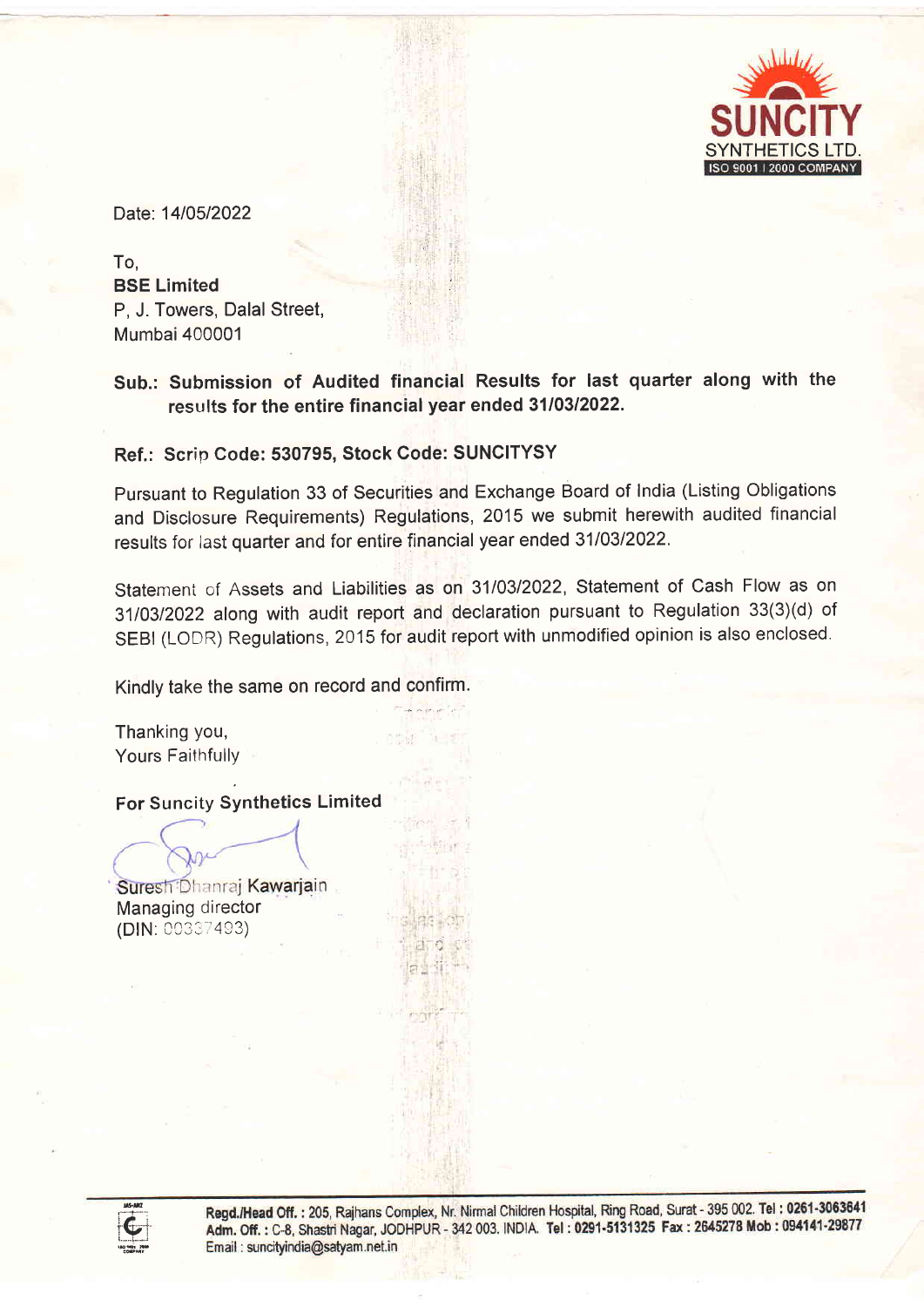

Date: 1410512022

To, BSE Limited P, J. Towers, Dalal Street, Mumbai 400001

# Sub.: Submission of Audited financial Results for last quarter along with the results for the entire financial year ended 31/03/2022.

## Ref.: Scrip Code: 530795, Stock Code: SUNCITYSY

Pursuant to Regulation 33 of Securities and Exchange Board of India (Listing Obligations and Disclosure Requirements) Regulations, 2015 we submit herewith audited financial results for last quarter and for entire financial year ended 3110312022.

Statemeni of Assets and Liabilities as on 3110312022, Statement of Cash Flow as on <sup>3110312022</sup>along with audit report and declaration pursuant to Regulation 33(3)(d) of SEBI (LODR) Regulations, 2015 for audit report with unmodified opinion is also enclosed.

Kindly take the same on record and confirm.

Thanking you, Yours Faithfully

For Suncity Synthetics Limited

Suresh Dhanraj Kawarjain Managing director (DlN: CC331493)



Regd./Head Off.: 205, Rajhans Complex, Nr. Nirmal Children Hospital, Ring Road, Surat - 395 002. Tel: 0261-3063641 Adm. Off.: C-8, Shastri Nagar, JODHPUR - 342 003. INDIA. Tel: 0291-5131325 Fax: 2645278 Mob: 094141-29877 Email: suncityindia@satyam.net.in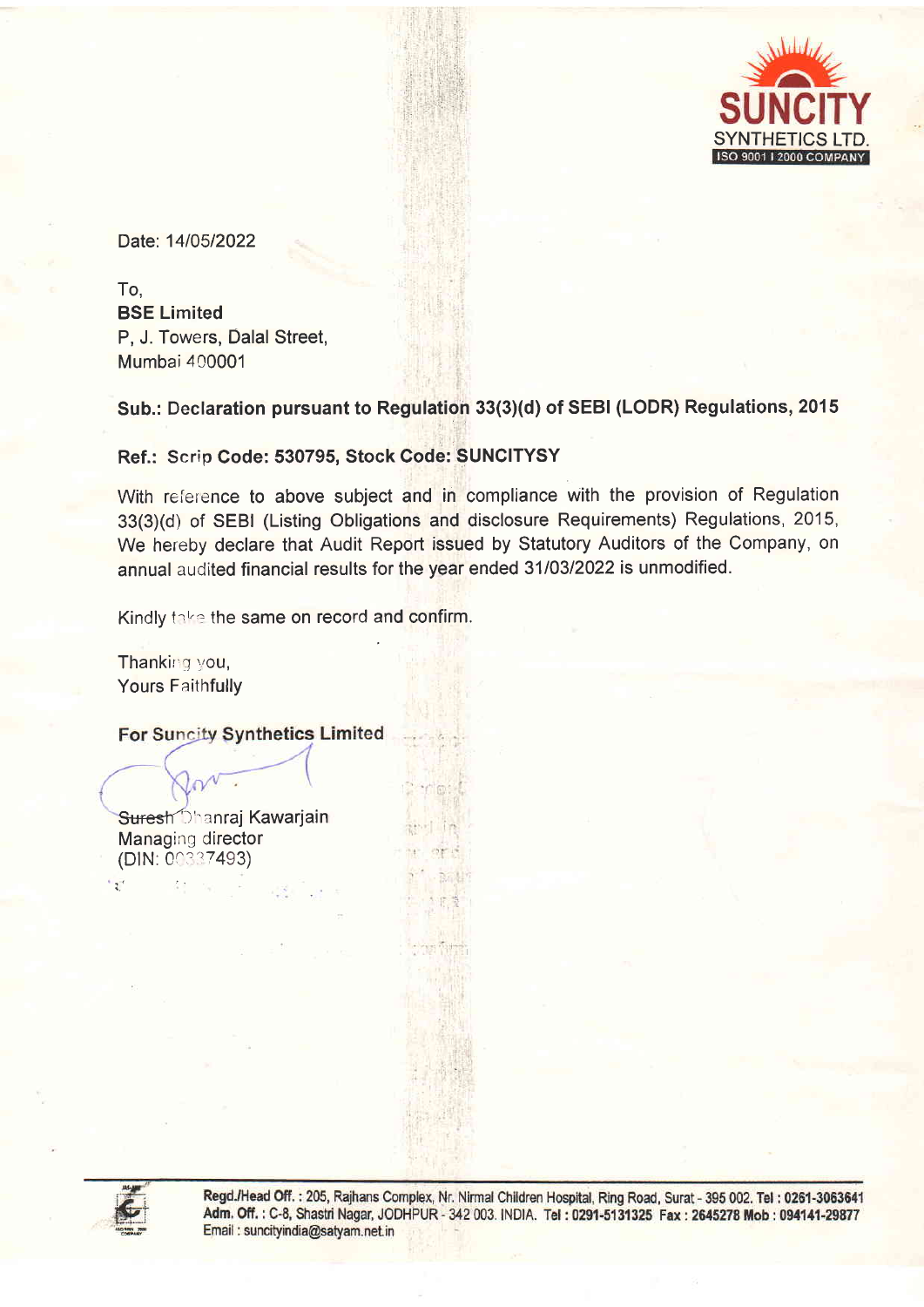

Date: 14/05/2022

To, BSE Limited P, J. Towers, Dalal Street, Mumbai 400001

## Sub.: Declaration pursuant to Regulation 33(3)(d) of SEBI (LODR) Regulations, 2015

## Ref.: Scrip Code: 530795, Stock Code: SUNCITYSY

With reference to above subject and in compliance with the provision of Regulation 33(3)(d) of SEBI (Listing Obligations and disclosure Requirements) Regulations, 2015, We hereby declare that Audit Report issued by Statutory Auditors of the Company, on annual audited financial results for the year ended 3110312022 is unmodified.

Kindly take the same on record and confirm.

Thanking you, Yours Faithfully

**For Suncity Synthetics Limited** 

Suresh<sup>1</sup> hanraj Kawarjain Managing director (DlN: On3 27493)



 $2^{\frac{1}{2}}$ 

Regd./Head Off.: 205, Rajhans Complex, Nr. Nirmal Children Hospital, Ring Road, Surat - 395 002. Tel: 0261-3063641 Adm. Off.: C-8, Shastri Nagar, JODHPUR - 342 003. INDIA. Tel: 0291-5131325 Fax: 2645278 Mob: 094141-29877 Email: suncityindia@satyam.net.in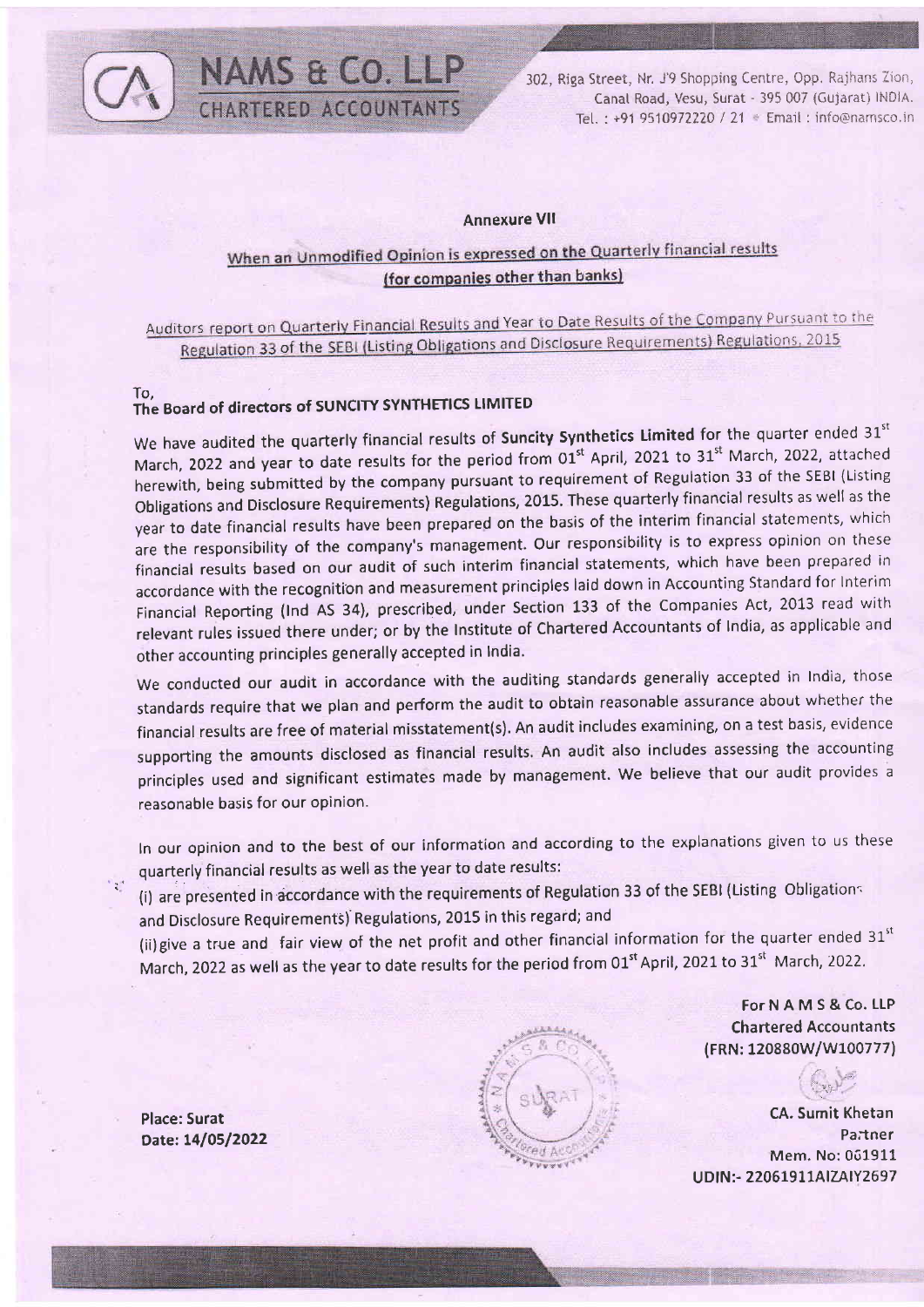

302, Riga Street, Nr. J'9 Shopping Centre, Opp. Rajhans Zion, Canal Road, Vesu, Surat - 395 007 (Gujarat) INDIA. Tel.: +91 9510972220 / 21 \* Email: info@namsco.in

#### **Annexure VII**

# When an Unmodified Opinion is expressed on the Quarterly financial results (for companies other than banks)

Auditors report on Quarterly Financial Results and Year to Date Results of the Company Pursuant to the Regulation 33 of the SEBI (Listing Obligations and Disclosure Requirements) Regulations, 2015

#### To, The Board of directors of SUNCITY SYNTHETICS LIMITED

**NAMS & CO. LLP** 

HARTERED ACCOUNTANTS

We have audited the quarterly financial results of Suncity Synthetics Limited for the quarter ended 31st March, 2022 and year to date results for the period from 01<sup>st</sup> April, 2021 to 31<sup>st</sup> March, 2022, attached herewith, being submitted by the company pursuant to requirement of Regulation 33 of the SEBI (Listing Obligations and Disclosure Requirements) Regulations, 2015. These quarterly financial results as well as the year to date financial results have been prepared on the basis of the interim financial statements, which are the responsibility of the company's management. Our responsibility is to express opinion on these financial results based on our audit of such interim financial statements, which have been prepared in accordance with the recognition and measurement principles laid down in Accounting Standard for Interim Financial Reporting (Ind AS 34), prescribed, under Section 133 of the Companies Act, 2013 read with relevant rules issued there under; or by the Institute of Chartered Accountants of India, as applicable and other accounting principles generally accepted in India.

We conducted our audit in accordance with the auditing standards generally accepted in India, those standards require that we plan and perform the audit to obtain reasonable assurance about whether the financial results are free of material misstatement(s). An audit includes examining, on a test basis, evidence supporting the amounts disclosed as financial results. An audit also includes assessing the accounting principles used and significant estimates made by management. We believe that our audit provides a reasonable basis for our opinion.

In our opinion and to the best of our information and according to the explanations given to us these quarterly financial results as well as the year to date results:

(i) are presented in accordance with the requirements of Regulation 33 of the SEBI (Listing Obligations and Disclosure Requirements) Regulations, 2015 in this regard; and

(ii) give a true and fair view of the net profit and other financial information for the quarter ended 31st March, 2022 as well as the year to date results for the period from 01st April, 2021 to 31st March, 2022.

> For N A M S & Co. LLP **Chartered Accountants** (FRN: 120880W/W100777)

**CA. Sumit Khetan** Partner Mem. No: 061911 UDIN:- 22061911AIZAIY2697

**Place: Surat** Date: 14/05/2022

 $\mathbb{Z}^2$ 

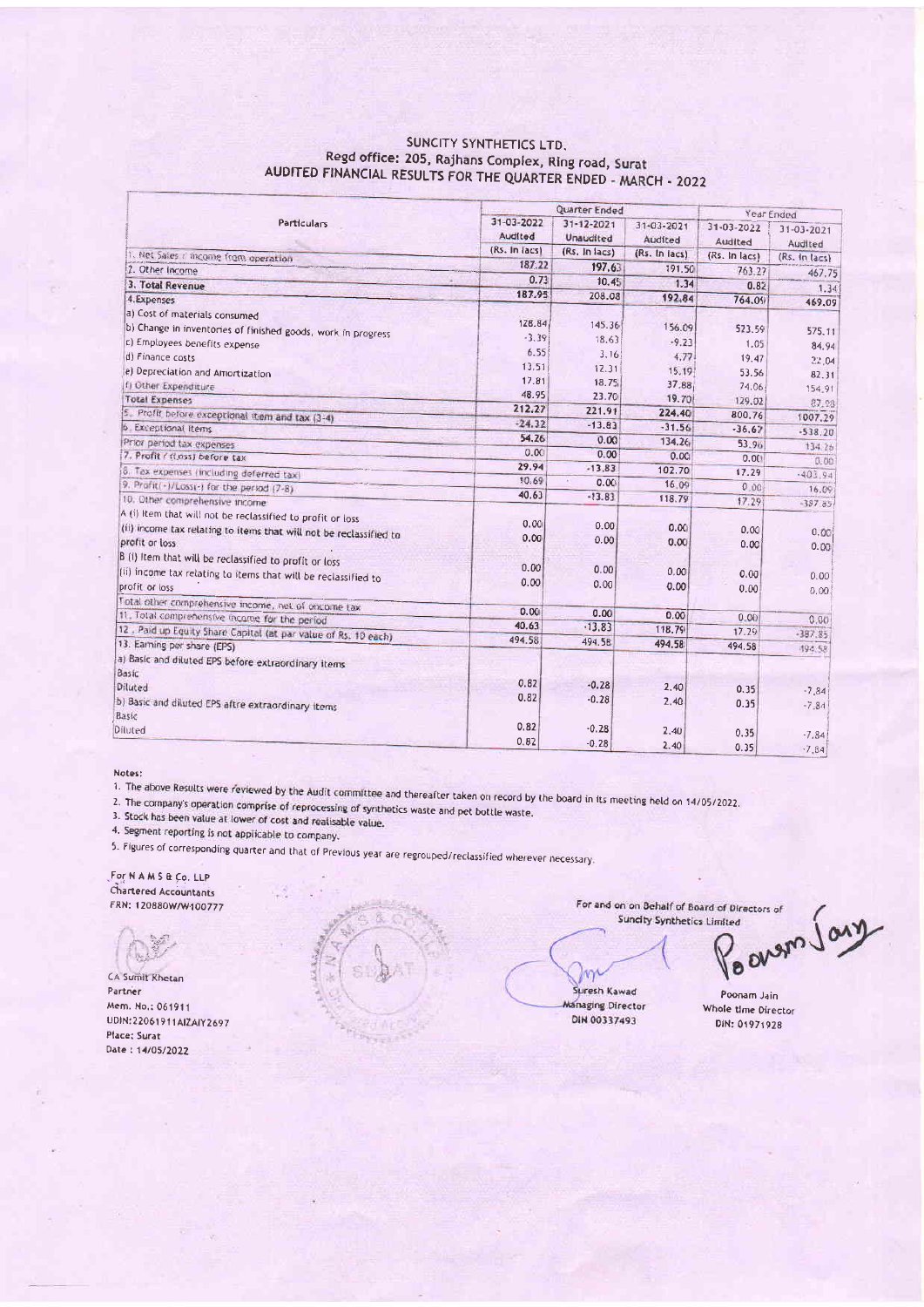### SUNCITY SYNTHETICS LTD. Regd office: 205, Rajhans Complex, Ring road, Surat AUDITED FINANCIAL RESULTS FOR THE QUARTER ENDED - MARCH - 2022

|                                                                                       | Quarter Ended         |                         |                       | Year Ended            |                          |  |
|---------------------------------------------------------------------------------------|-----------------------|-------------------------|-----------------------|-----------------------|--------------------------|--|
| Particulars                                                                           | 31-03-2022<br>Audited | 31-12-2021<br>Unaudited | 31-03-2021<br>Audited | 31-03-2022<br>Audited | 31-03-2021               |  |
| 1. Net Sales / income from operation                                                  | (Rs. In lacs)         | (Rs. In lacs)           | (Rs. In lacs)         | (Rs. In lacs)         | Audited<br>(Rs. In lacs) |  |
| 2. Other Income                                                                       | 187,22                | 197.63                  | 191.50                | 763.27                |                          |  |
| 3. Total Revenue                                                                      | 0.73                  | 10,45                   | 1, 34                 | 0.82                  | 467.75                   |  |
| 4. Expenses                                                                           | 187.95                | 208.08                  | 192.84                | 764.09                | 1.34                     |  |
| a) Cost of materials consumed                                                         |                       |                         |                       |                       | 469.09                   |  |
| b) Change in inventories of finished goods, work in progress                          | 128.84                | 145.36                  | 156.09                | 523.59                |                          |  |
| c) Employees benefits expense                                                         | $-3.39$               | 18.63                   | $-9.23$               | 1.05                  | 575.11                   |  |
| d) Finance costs                                                                      | 6.55                  | 3.16                    | 4.77                  | 19.47                 | 84.94                    |  |
| e) Depreciation and Amortization                                                      | 13,51                 | 12.31                   | 15.19                 | 53.56                 | 22.04                    |  |
| f) Other Experiture                                                                   | 17.81                 | 18.75                   | 37.88                 | 74.06                 | 82.31                    |  |
| <b>Total Expenses</b>                                                                 | 48.95                 | 23.70                   | 19,70                 | 129.02                | 154.91                   |  |
| 5. Profit before exceptional item and tax (3-4)                                       | 212.27                | 221,91                  | 224.40                | 800.76                | 87.98                    |  |
| 6 Exceptional Items                                                                   | $-24.32$              | $-13.83$                | $-31.56$              | $-36,67$              | 1007.29                  |  |
| Prior period tax expenses                                                             | 54.26                 | 0.00                    | 134.26                | 53.96                 | $-538.20$                |  |
| 7. Profit / (Loss) before tax                                                         | 0.00                  | 0.00                    | 0.00                  | 0.00                  | 134.25                   |  |
| 8. Tax expenses (including deferred tax)                                              | 29.94                 | $-13.83$                | 102.70                | 17.29                 | 0,00                     |  |
| 9. Prafit(+)/Loss(-) for the period (7-8)                                             | 10.69                 | 0.00                    | 16.09                 | 0.00                  | $-403.94$                |  |
| 10. Other comprehensive income                                                        | 40.63                 | $-13.83$                | 118.79                | 17.29                 | 16.09                    |  |
|                                                                                       |                       |                         |                       |                       | $-387.85$                |  |
| A (i) Item that will not be reclassified to profit or loss                            | 0.00                  | 0.00                    | 0.00                  | 0.00                  |                          |  |
| (ii) income tax relating to items that will not be reclassified to<br>profit or loss. | 0.00                  | 0.00                    | 0.00                  |                       | 0.00                     |  |
|                                                                                       |                       |                         |                       | 0.00                  | 0.00                     |  |
| B (i) Item that will be reclassified to profit or loss                                | 0.00                  | 0,00                    | 0,00                  |                       |                          |  |
| (ii) income tax relating to items that will be reclassified to<br>profit or loss      | 0.00                  | 0.00                    | 0.00                  | 0.00                  | 0.00                     |  |
|                                                                                       |                       |                         |                       | 0.00                  | 0,00                     |  |
| Total other comprehensive income, net of oncome tax                                   | 0.00                  | 0.00                    | 0.00                  |                       |                          |  |
| 11. Total comprehensive income for the period                                         | 40.63                 | $-13.83$                | 118,79                | 0.00                  | 0.00                     |  |
| 12. Paid up Equity Share Capital (at par value of Rs. 10 each)                        | 494.58                | 494.58                  | 494.58                | 17.29                 | $-387.85$                |  |
| 13. Earning per share (EPS)                                                           |                       |                         |                       | 494.58                | 194.58                   |  |
| a) Basic and diluted EPS before extraordinary items<br>Basic                          |                       |                         |                       |                       |                          |  |
| Diluted                                                                               | 0.82                  | $-0.28$                 | 2.40                  |                       |                          |  |
|                                                                                       | 0.82                  | $-0.28$                 |                       | 0.35                  | $-7.84$                  |  |
| b) Basic and diluted EPS aftre extraordinary items<br>Basic                           |                       |                         | 2,40                  | 0.35                  | $-7.84$                  |  |
| Diluted                                                                               | 0.82                  | $-0.28$                 |                       |                       |                          |  |
|                                                                                       | 0.82                  | $-0.28$                 | 2,40                  | 0.35                  | $-7.84$                  |  |
|                                                                                       |                       |                         | 2.40                  | 0.35                  | $-7.84$                  |  |

Notes:

1. The above Results were reviewed by the Audit committee and thereafter taken on record by the board in its meeting held on 14/05/2022. 2. The company's operation comprise of reprocessing of synthetics waste and pet bottle waste.

3. Stock has been value at lower of cost and realisable value.

4. Segment reporting is not applicable to company.

5. Figures of corresponding quarter and that of Previous year are regrouped/reclassified wherever necessary.

For NAMS & Co. LLP Chartered Accountants FRN: 120880W/W100777

CA Sumit Khetan Partner Mem. No.: 061911 UDIN: 22061911AIZAIY2697 Place: Surat Date: 14/05/2022



For and on on Behalf of Board of Directors of Suncity Synthetics Limited

Poever Jary

Suresh Kawad **Managing Director** DIN 00337493

l۵

Poonam Jain Whole time Director DIN: 01971928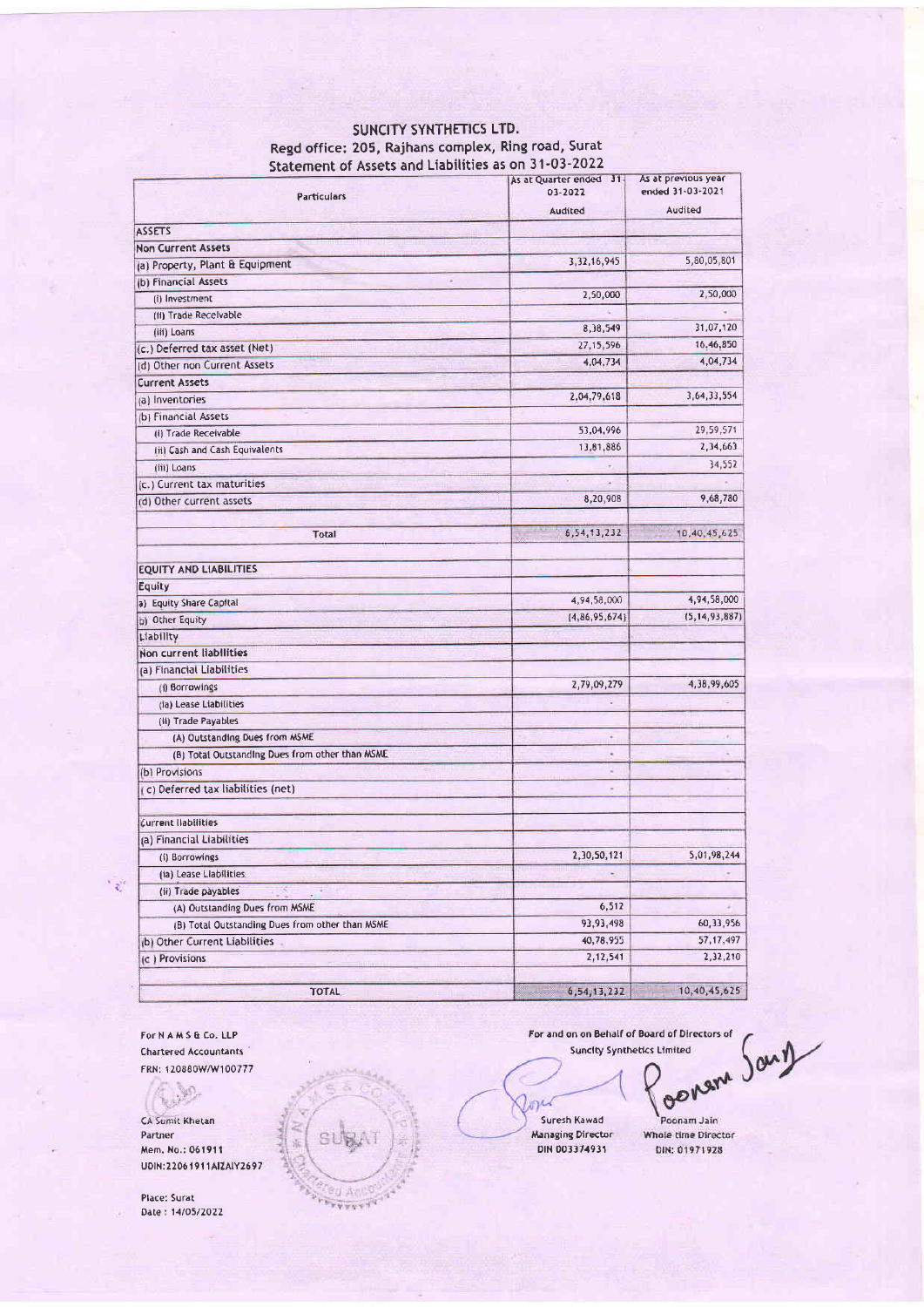| SUNCITY SYNTHETICS LTD.                              |  |  |  |  |
|------------------------------------------------------|--|--|--|--|
| Regd office: 205, Rajhans complex, Ring road, Surat  |  |  |  |  |
| Statement of Assets and Liabilities as on 31-03-2022 |  |  |  |  |

|                                                 | As at Quarter ended 31 | As at previous year |  |
|-------------------------------------------------|------------------------|---------------------|--|
| Particulars                                     | 03-2022                | ended 31-03-2021    |  |
|                                                 | Audited                | Audited             |  |
| <b>ASSETS</b>                                   |                        |                     |  |
| <b>Non Current Assets</b>                       |                        |                     |  |
| (a) Property, Plant & Equipment                 | 3, 32, 16, 945         | 5,80,05,801         |  |
| (b) Financial Assets                            | ¥                      |                     |  |
| (i) Investment                                  | 2,50,000               | 2,50,000            |  |
| (ff) Trade Receivable                           |                        |                     |  |
| (iii) Loans                                     | 8,38,549               | 31,07,120           |  |
| (c.) Deferred tax asset (Net)                   | 27, 15, 596            | 16,46,850           |  |
| (d) Other non Current Assets                    | 4,04,734               | 4,04,734            |  |
| <b>Current Assets</b>                           |                        |                     |  |
| (a) Inventories                                 | 2,04,79,618            | 3,64,33,554         |  |
| (b) Financial Assets                            |                        |                     |  |
| (i) Trade Receivable                            | 53,04,996              | 29,59,571           |  |
| (ii) Cash and Cash Equivalents                  | 13,81,886              | 2,34,663            |  |
| (iii) Loans                                     |                        | 34,552              |  |
| (c.) Current tax maturities                     |                        |                     |  |
| (d) Other current assets                        | 8,20,908               | 9,68,780            |  |
|                                                 |                        |                     |  |
| Total                                           | 6, 54, 13, 232         | 10,40,45,625        |  |
|                                                 |                        |                     |  |
| <b>EQUITY AND LIABILITIES</b>                   |                        |                     |  |
| Equity                                          |                        |                     |  |
| a) Equity Share Capital                         | 4,94,58,000            | 4,94,58,000         |  |
| b) Other Equity                                 | (4, 86, 95, 674)       | (5, 14, 93, 887)    |  |
| Liability                                       |                        |                     |  |
| Non current liabilities                         |                        |                     |  |
| (a) Financial Liabilities                       |                        |                     |  |
| (1) Borrowings                                  | 2,79,09,279            | 4,38,99,605         |  |
| (ia) Lease Liabilities                          |                        |                     |  |
| (ii) Trade Payables                             |                        |                     |  |
| (A) Outstanding Dues from MSME                  | $\bullet$              | $\sigma$            |  |
| (B) Total Outstanding Dues from other than MSME | $\bullet$              |                     |  |
| (b) Provisions                                  | ×                      |                     |  |
| (c) Deferred tax liabilities (net)              | $\mu$                  |                     |  |
|                                                 |                        |                     |  |
| <b>Current Ilabilities</b>                      |                        |                     |  |
| (a) Financial Liabilities                       |                        |                     |  |
| (i) Borrowings                                  | 2,30,50,121            | 5,01,98,244         |  |
| (ia) Lease Liabilities                          |                        |                     |  |
| (ii) Trade payables                             |                        |                     |  |
| (A) Outstanding Dues from MSME                  | 6,512                  |                     |  |
| (B) Total Outstanding Dues from other than MSME | 93,93,498              | 60,33,956           |  |
| (b) Other Current Liabilities                   | 40,78,955              | 57, 17, 497         |  |
| (c) Provisions                                  | 2,12,541               | 2,32,210            |  |
|                                                 |                        |                     |  |
| <b>TOTAL</b>                                    | 6,54,13,232            | 10,40,45,625        |  |

For N A M S & Co. LLP Chartered Accountants FRN: 120880W/W100777

# Robe

 $\mathcal{C}$ 

CA Sumit Khetan Partner Mem. No.: 061911 UDIN: 22061911AIZAIY2697

Place: Surat Date: 14/05/2022



For and on on Behalf of Board of Directors of **Suncity Synthetics Limited** 

oonen Jany

Suresh Kawad Managing Director<br>DIN 003374931

Poonam Jain Whole time Director DIN: 01971928